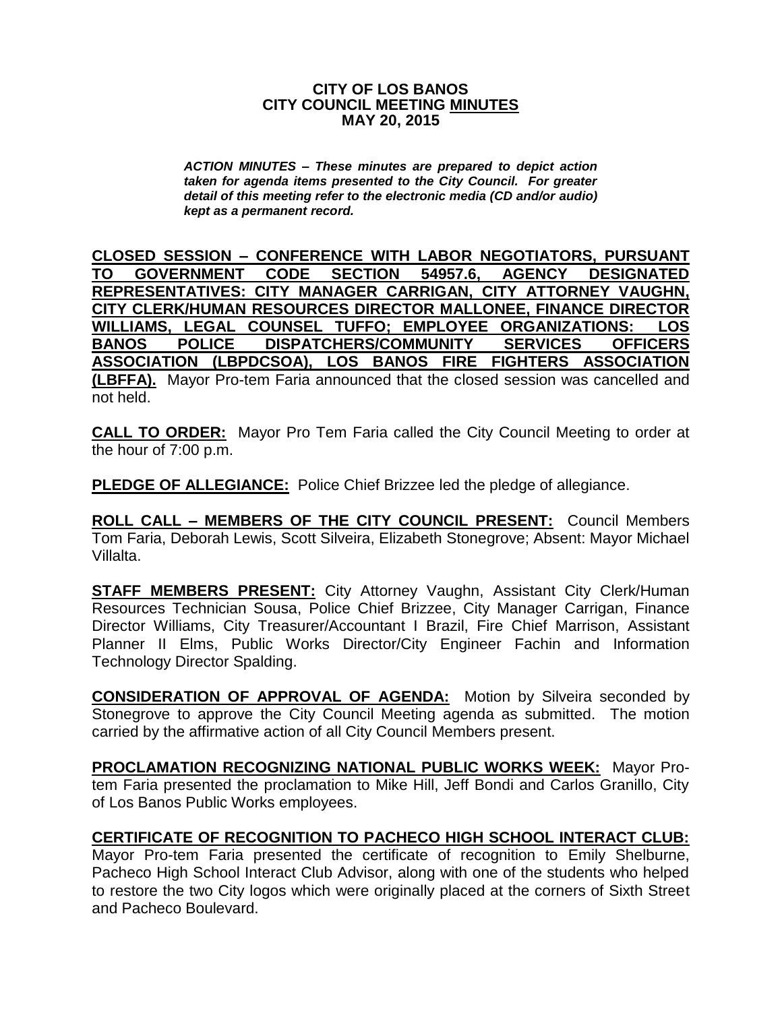#### **CITY OF LOS BANOS CITY COUNCIL MEETING MINUTES MAY 20, 2015**

*ACTION MINUTES – These minutes are prepared to depict action taken for agenda items presented to the City Council. For greater detail of this meeting refer to the electronic media (CD and/or audio) kept as a permanent record.*

**CLOSED SESSION – CONFERENCE WITH LABOR NEGOTIATORS, PURSUANT TO GOVERNMENT CODE SECTION 54957.6, AGENCY DESIGNATED REPRESENTATIVES: CITY MANAGER CARRIGAN, CITY ATTORNEY VAUGHN, CITY CLERK/HUMAN RESOURCES DIRECTOR MALLONEE, FINANCE DIRECTOR WILLIAMS, LEGAL COUNSEL TUFFO; EMPLOYEE ORGANIZATIONS: LOS BANOS POLICE DISPATCHERS/COMMUNITY SERVICES OFFICERS ASSOCIATION (LBPDCSOA), LOS BANOS FIRE FIGHTERS ASSOCIATION (LBFFA).** Mayor Pro-tem Faria announced that the closed session was cancelled and not held.

**CALL TO ORDER:** Mayor Pro Tem Faria called the City Council Meeting to order at the hour of 7:00 p.m.

**PLEDGE OF ALLEGIANCE:** Police Chief Brizzee led the pledge of allegiance.

**ROLL CALL – MEMBERS OF THE CITY COUNCIL PRESENT:** Council Members Tom Faria, Deborah Lewis, Scott Silveira, Elizabeth Stonegrove; Absent: Mayor Michael Villalta.

**STAFF MEMBERS PRESENT:** City Attorney Vaughn, Assistant City Clerk/Human Resources Technician Sousa, Police Chief Brizzee, City Manager Carrigan, Finance Director Williams, City Treasurer/Accountant I Brazil, Fire Chief Marrison, Assistant Planner II Elms, Public Works Director/City Engineer Fachin and Information Technology Director Spalding.

**CONSIDERATION OF APPROVAL OF AGENDA:** Motion by Silveira seconded by Stonegrove to approve the City Council Meeting agenda as submitted. The motion carried by the affirmative action of all City Council Members present.

**PROCLAMATION RECOGNIZING NATIONAL PUBLIC WORKS WEEK:** Mayor Protem Faria presented the proclamation to Mike Hill, Jeff Bondi and Carlos Granillo, City of Los Banos Public Works employees.

# **CERTIFICATE OF RECOGNITION TO PACHECO HIGH SCHOOL INTERACT CLUB:** Mayor Pro-tem Faria presented the certificate of recognition to Emily Shelburne,

Pacheco High School Interact Club Advisor, along with one of the students who helped to restore the two City logos which were originally placed at the corners of Sixth Street and Pacheco Boulevard.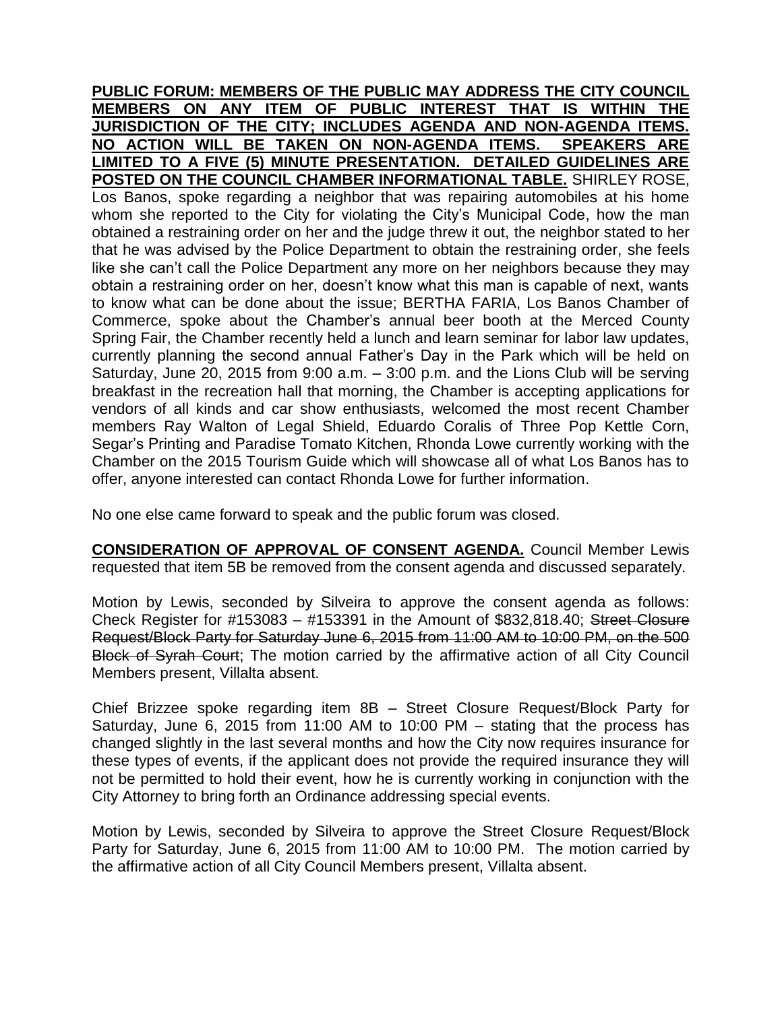**PUBLIC FORUM: MEMBERS OF THE PUBLIC MAY ADDRESS THE CITY COUNCIL MEMBERS ON ANY ITEM OF PUBLIC INTEREST THAT IS WITHIN THE JURISDICTION OF THE CITY; INCLUDES AGENDA AND NON-AGENDA ITEMS. NO ACTION WILL BE TAKEN ON NON-AGENDA ITEMS. SPEAKERS ARE LIMITED TO A FIVE (5) MINUTE PRESENTATION. DETAILED GUIDELINES ARE POSTED ON THE COUNCIL CHAMBER INFORMATIONAL TABLE.** SHIRLEY ROSE, Los Banos, spoke regarding a neighbor that was repairing automobiles at his home whom she reported to the City for violating the City's Municipal Code, how the man obtained a restraining order on her and the judge threw it out, the neighbor stated to her that he was advised by the Police Department to obtain the restraining order, she feels like she can't call the Police Department any more on her neighbors because they may obtain a restraining order on her, doesn't know what this man is capable of next, wants to know what can be done about the issue; BERTHA FARIA, Los Banos Chamber of Commerce, spoke about the Chamber's annual beer booth at the Merced County Spring Fair, the Chamber recently held a lunch and learn seminar for labor law updates, currently planning the second annual Father's Day in the Park which will be held on Saturday, June 20, 2015 from 9:00 a.m. – 3:00 p.m. and the Lions Club will be serving breakfast in the recreation hall that morning, the Chamber is accepting applications for vendors of all kinds and car show enthusiasts, welcomed the most recent Chamber members Ray Walton of Legal Shield, Eduardo Coralis of Three Pop Kettle Corn, Segar's Printing and Paradise Tomato Kitchen, Rhonda Lowe currently working with the Chamber on the 2015 Tourism Guide which will showcase all of what Los Banos has to offer, anyone interested can contact Rhonda Lowe for further information.

No one else came forward to speak and the public forum was closed.

**CONSIDERATION OF APPROVAL OF CONSENT AGENDA.** Council Member Lewis requested that item 5B be removed from the consent agenda and discussed separately.

Motion by Lewis, seconded by Silveira to approve the consent agenda as follows: Check Register for #153083 – #153391 in the Amount of \$832,818.40; Street Closure Request/Block Party for Saturday June 6, 2015 from 11:00 AM to 10:00 PM, on the 500 Block of Syrah Court; The motion carried by the affirmative action of all City Council Members present, Villalta absent.

Chief Brizzee spoke regarding item 8B – Street Closure Request/Block Party for Saturday, June 6, 2015 from 11:00 AM to 10:00 PM – stating that the process has changed slightly in the last several months and how the City now requires insurance for these types of events, if the applicant does not provide the required insurance they will not be permitted to hold their event, how he is currently working in conjunction with the City Attorney to bring forth an Ordinance addressing special events.

Motion by Lewis, seconded by Silveira to approve the Street Closure Request/Block Party for Saturday, June 6, 2015 from 11:00 AM to 10:00 PM. The motion carried by the affirmative action of all City Council Members present, Villalta absent.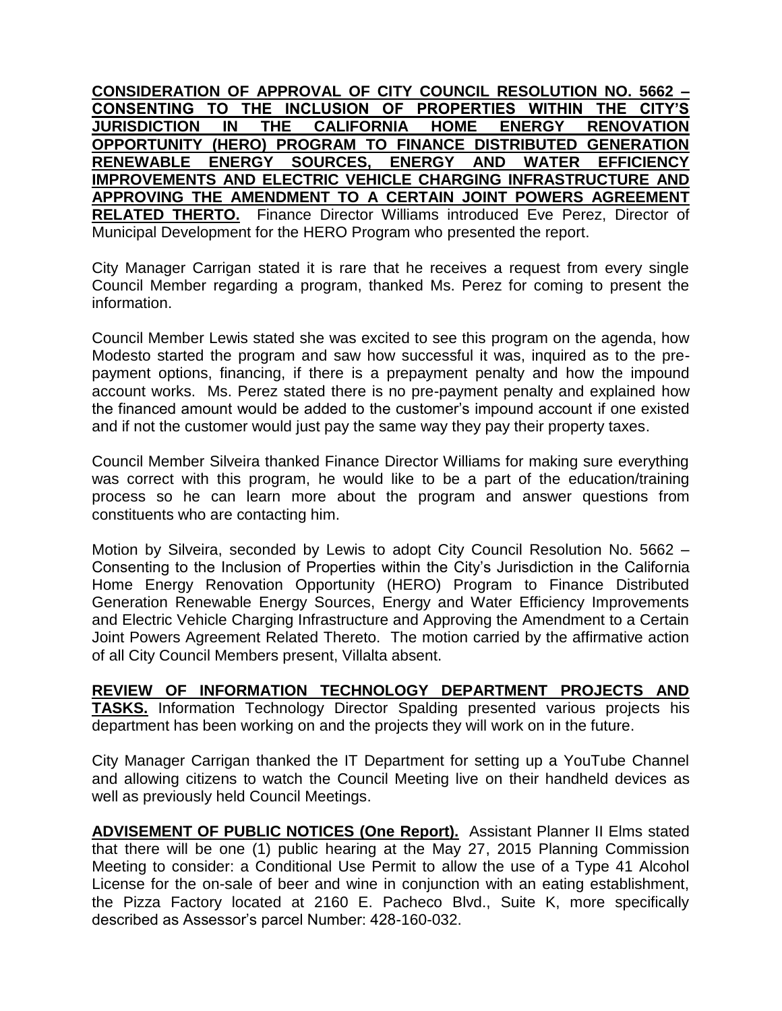**CONSIDERATION OF APPROVAL OF CITY COUNCIL RESOLUTION NO. 5662 – CONSENTING TO THE INCLUSION OF PROPERTIES WITHIN THE CITY'S JURISDICTION IN THE CALIFORNIA HOME ENERGY RENOVATION OPPORTUNITY (HERO) PROGRAM TO FINANCE DISTRIBUTED GENERATION RENEWABLE ENERGY SOURCES, ENERGY AND WATER EFFICIENCY IMPROVEMENTS AND ELECTRIC VEHICLE CHARGING INFRASTRUCTURE AND APPROVING THE AMENDMENT TO A CERTAIN JOINT POWERS AGREEMENT RELATED THERTO.** Finance Director Williams introduced Eve Perez, Director of Municipal Development for the HERO Program who presented the report.

City Manager Carrigan stated it is rare that he receives a request from every single Council Member regarding a program, thanked Ms. Perez for coming to present the information.

Council Member Lewis stated she was excited to see this program on the agenda, how Modesto started the program and saw how successful it was, inquired as to the prepayment options, financing, if there is a prepayment penalty and how the impound account works. Ms. Perez stated there is no pre-payment penalty and explained how the financed amount would be added to the customer's impound account if one existed and if not the customer would just pay the same way they pay their property taxes.

Council Member Silveira thanked Finance Director Williams for making sure everything was correct with this program, he would like to be a part of the education/training process so he can learn more about the program and answer questions from constituents who are contacting him.

Motion by Silveira, seconded by Lewis to adopt City Council Resolution No. 5662 – Consenting to the Inclusion of Properties within the City's Jurisdiction in the California Home Energy Renovation Opportunity (HERO) Program to Finance Distributed Generation Renewable Energy Sources, Energy and Water Efficiency Improvements and Electric Vehicle Charging Infrastructure and Approving the Amendment to a Certain Joint Powers Agreement Related Thereto. The motion carried by the affirmative action of all City Council Members present, Villalta absent.

**REVIEW OF INFORMATION TECHNOLOGY DEPARTMENT PROJECTS AND TASKS.** Information Technology Director Spalding presented various projects his department has been working on and the projects they will work on in the future.

City Manager Carrigan thanked the IT Department for setting up a YouTube Channel and allowing citizens to watch the Council Meeting live on their handheld devices as well as previously held Council Meetings.

**ADVISEMENT OF PUBLIC NOTICES (One Report).** Assistant Planner II Elms stated that there will be one (1) public hearing at the May 27, 2015 Planning Commission Meeting to consider: a Conditional Use Permit to allow the use of a Type 41 Alcohol License for the on-sale of beer and wine in conjunction with an eating establishment, the Pizza Factory located at 2160 E. Pacheco Blvd., Suite K, more specifically described as Assessor's parcel Number: 428-160-032.